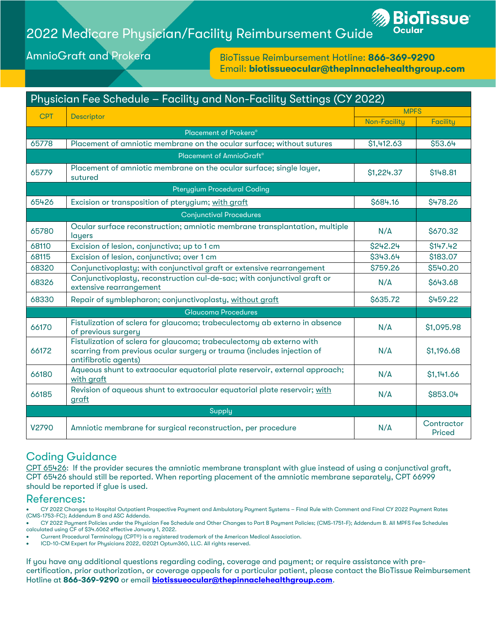## 2022 Medicare Physician/Facility Reimbursement Guide



AmnioGraft and Prokera

BioTissue Reimbursement Hotline: 866-369-9290 Email: biotissueocular@thepinnaclehealthgroup.com

| Physician Fee Schedule - Facility and Non-Facility Settings (CY 2022) |                                                                                                                                                                        |                     |                      |  |  |  |
|-----------------------------------------------------------------------|------------------------------------------------------------------------------------------------------------------------------------------------------------------------|---------------------|----------------------|--|--|--|
| <b>CPT</b>                                                            | Descriptor                                                                                                                                                             | <b>MPFS</b>         |                      |  |  |  |
|                                                                       |                                                                                                                                                                        | <b>Non-Facility</b> | <b>Facility</b>      |  |  |  |
|                                                                       | Placement of Prokera®                                                                                                                                                  |                     |                      |  |  |  |
| 65778                                                                 | Placement of amniotic membrane on the ocular surface; without sutures                                                                                                  | \$1,412.63          | \$53.64              |  |  |  |
| Placement of AmnioGraft®                                              |                                                                                                                                                                        |                     |                      |  |  |  |
| 65779                                                                 | Placement of amniotic membrane on the ocular surface; single layer,<br>sutured                                                                                         | \$1,224.37          | \$148.81             |  |  |  |
|                                                                       | <b>Pterygium Procedural Coding</b>                                                                                                                                     |                     |                      |  |  |  |
| 65426                                                                 | Excision or transposition of pterygium; with graft                                                                                                                     | \$684.16            | \$478.26             |  |  |  |
|                                                                       | <b>Conjunctival Procedures</b>                                                                                                                                         |                     |                      |  |  |  |
| 65780                                                                 | Ocular surface reconstruction; amniotic membrane transplantation, multiple<br>layers                                                                                   | N/A                 | \$670.32             |  |  |  |
| 68110                                                                 | Excision of lesion, conjunctiva; up to 1 cm                                                                                                                            | \$242.24            | \$147.42             |  |  |  |
| 68115                                                                 | Excision of lesion, conjunctiva; over 1 cm                                                                                                                             | \$343.64            | \$183.07             |  |  |  |
| 68320                                                                 | Conjunctivoplasty; with conjunctival graft or extensive rearrangement                                                                                                  | \$759.26            | \$540.20             |  |  |  |
| 68326                                                                 | Conjunctivoplasty, reconstruction cul-de-sac; with conjunctival graft or<br>extensive rearrangement                                                                    | N/A                 | \$643.68             |  |  |  |
| 68330                                                                 | Repair of symblepharon; conjunctivoplasty, without araft                                                                                                               | \$635.72            | \$459.22             |  |  |  |
| <b>Glaucoma Procedures</b>                                            |                                                                                                                                                                        |                     |                      |  |  |  |
| 66170                                                                 | Fistulization of sclera for glaucoma; trabeculectomy ab externo in absence<br>of previous surgery                                                                      | N/A                 | \$1,095.98           |  |  |  |
| 66172                                                                 | Fistulization of sclera for glaucoma; trabeculectomy ab externo with<br>scarring from previous ocular surgery or trauma (includes injection of<br>antifibrotic agents) | N/A                 | \$1,196.68           |  |  |  |
| 66180                                                                 | Aqueous shunt to extraocular equatorial plate reservoir, external approach;<br>with araft                                                                              | N/A                 | \$1,141.66           |  |  |  |
| 66185                                                                 | Revision of aqueous shunt to extraocular equatorial plate reservoir; with<br>graft                                                                                     | N/A                 | \$853.04             |  |  |  |
|                                                                       | Supply                                                                                                                                                                 |                     |                      |  |  |  |
| V <sub>2790</sub>                                                     | Amniotic membrane for surgical reconstruction, per procedure                                                                                                           | N/A                 | Contractor<br>Priced |  |  |  |

## Coding Guidance

CPT 65426: If the provider secures the amniotic membrane transplant with glue instead of using a conjunctival graft, CP[T 65426](https://www.supercoder.com/cpt-codes/65426) should still be reported. When reporting placement of the amniotic membrane separately, CPT 66999 should be reported if glue is used.

## References:

• CY 2022 Changes to Hospital Outpatient Prospective Payment and Ambulatory Payment Systems – Final Rule with Comment and Final CY 2022 Payment Rates (CMS-1753-FC); Addendum B and ASC Addenda.

• CY 2022 Payment Policies under the Physician Fee Schedule and Other Changes to Part B Payment Policies; (CMS-1751-F); Addendum B. All MPFS Fee Schedules calculated using CF of \$34.6062 effective January 1, 2022.

• Current Procedural Terminology (CPT®) is a registered trademark of the American Medical Association.

• ICD-10-CM Expert for Physicians 2022, ©2021 Optum360, LLC. All rights reserved.

If you have any additional questions regarding coding, coverage and payment; or require assistance with precertification, prior authorization, or coverage appeals for a particular patient, please contact the BioTissue Reimbursement Hotline at 866-369-9290 or email **[biotissueocular@thepinnaclehealthgroup.com](mailto:biotissueocular@thepinnaclehealthgroup.com)**.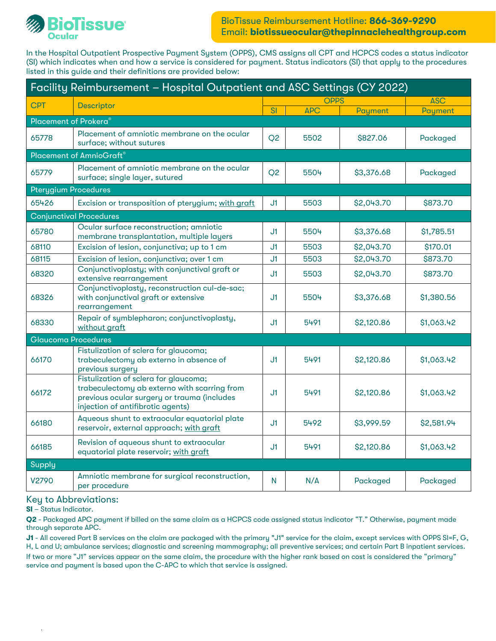

In the Hospital Outpatient Prospective Payment System (OPPS), CMS assigns all CPT and HCPCS codes a status indicator (SI) which indicates when and how a service is considered for payment. Status indicators (SI) that apply to the procedures listed in this guide and their definitions are provided below:

| Facility Reimbursement - Hospital Outpatient and ASC Settings (CY 2022)                                                                                                   |                                                                                                         |                        |            |                        |  |  |
|---------------------------------------------------------------------------------------------------------------------------------------------------------------------------|---------------------------------------------------------------------------------------------------------|------------------------|------------|------------------------|--|--|
|                                                                                                                                                                           |                                                                                                         |                        |            | <b>ASC</b>             |  |  |
|                                                                                                                                                                           |                                                                                                         |                        |            | Payment                |  |  |
|                                                                                                                                                                           |                                                                                                         |                        |            |                        |  |  |
| Placement of amniotic membrane on the ocular<br>surface; without sutures                                                                                                  | Q <sub>2</sub>                                                                                          | 5502                   | \$827.06   | Packaged               |  |  |
| <b>Placement of AmnioGraft®</b>                                                                                                                                           |                                                                                                         |                        |            |                        |  |  |
| Placement of amniotic membrane on the ocular<br>surface; single layer, sutured                                                                                            | Q <sub>2</sub>                                                                                          | 5504                   | \$3,376.68 | Packaged               |  |  |
| <b>Pterygium Procedures</b>                                                                                                                                               |                                                                                                         |                        |            |                        |  |  |
| Excision or transposition of pterygium; with graft                                                                                                                        | J1.                                                                                                     | 5503                   | \$2,043.70 | \$873.70               |  |  |
| Conjunctival Procedures                                                                                                                                                   |                                                                                                         |                        |            |                        |  |  |
| Ocular surface reconstruction; amniotic<br>membrane transplantation, multiple layers                                                                                      | J1.                                                                                                     | 5504                   | \$3,376.68 | \$1,785.51             |  |  |
| Excision of lesion, conjunctiva; up to 1 cm                                                                                                                               | J1                                                                                                      | 5503                   | \$2,043.70 | \$170.01               |  |  |
| Excision of lesion, conjunctiva; over 1 cm                                                                                                                                | J1                                                                                                      | 5503                   | \$2,043.70 | \$873.70               |  |  |
| Conjunctivoplasty; with conjunctival graft or<br>extensive rearrangement                                                                                                  | J1.                                                                                                     | 5503                   | \$2,043.70 | \$873.70               |  |  |
| with conjunctival graft or extensive<br>rearrangement                                                                                                                     | J1.                                                                                                     | 5504                   | \$3,376.68 | \$1,380.56             |  |  |
| Repair of symblepharon; conjunctivoplasty,<br>without graft                                                                                                               | J1                                                                                                      | 5491                   | \$2,120.86 | \$1,063.42             |  |  |
| <b>Glaucoma Procedures</b>                                                                                                                                                |                                                                                                         |                        |            |                        |  |  |
| Fistulization of sclera for glaucoma;<br>trabeculectomy ab externo in absence of<br>previous surgery                                                                      | J1                                                                                                      | 5491                   | \$2,120.86 | \$1,063.42             |  |  |
| Fistulization of sclera for glaucoma;<br>trabeculectomy ab externo with scarring from<br>previous ocular surgery or trauma (includes<br>injection of antifibrotic agents) | J1                                                                                                      | 5491                   | \$2,120.86 | \$1,063.42             |  |  |
| Aqueous shunt to extraocular equatorial plate<br>reservoir, external approach; with graft                                                                                 | J1.                                                                                                     | 5492                   | \$3,999.59 | \$2,581.94             |  |  |
| Revision of aqueous shunt to extraocular<br>equatorial plate reservoir; with graft                                                                                        | J1                                                                                                      | 5491                   | \$2,120.86 | \$1,063.42             |  |  |
| Supply                                                                                                                                                                    |                                                                                                         |                        |            |                        |  |  |
| Amniotic membrane for surgical reconstruction,<br>per procedure                                                                                                           | N                                                                                                       | N/A                    | Packaged   | Packaged               |  |  |
|                                                                                                                                                                           | <b>Descriptor</b><br>Placement of Prokera <sup>®</sup><br>Conjunctivoplasty, reconstruction cul-de-sac; | $\overline{\text{SI}}$ | <b>APC</b> | <b>OPPS</b><br>Payment |  |  |

## Key to Abbreviations:

SI – Status Indicator.

.

Q2 - Packaged APC payment if billed on the same claim as a HCPCS code assigned status indicator "T." Otherwise, payment made through separate APC.

J1 - All covered Part B services on the claim are packaged with the primary "J1" service for the claim, except services with OPPS SI=F, G, H, L and U; ambulance services; diagnostic and screening mammography; all preventive services; and certain Part B inpatient services. If two or more "J1" services appear on the same claim, the procedure with the higher rank based on cost is considered the "primary" service and payment is based upon the C-APC to which that service is assigned.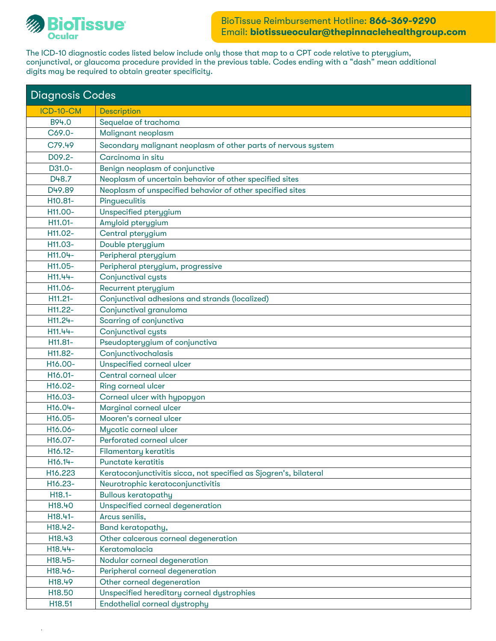

.

The ICD-10 diagnostic codes listed below include only those that map to a CPT code relative to pterygium, conjunctival, or glaucoma procedure provided in the previous table. Codes ending with a "dash" mean additional digits may be required to obtain greater specificity.

| <b>Diagnosis Codes</b> |                                                                   |  |  |  |
|------------------------|-------------------------------------------------------------------|--|--|--|
| ICD-10-CM              | <b>Description</b>                                                |  |  |  |
| B94.0                  | Sequelae of trachoma                                              |  |  |  |
| C69.0-                 | Malignant neoplasm                                                |  |  |  |
| C79.49                 | Secondary malignant neoplasm of other parts of nervous system     |  |  |  |
| D09.2-                 | Carcinoma in situ                                                 |  |  |  |
| D31.0-                 | Benign neoplasm of conjunctive                                    |  |  |  |
| D48.7                  | Neoplasm of uncertain behavior of other specified sites           |  |  |  |
| D49.89                 | Neoplasm of unspecified behavior of other specified sites         |  |  |  |
| H10.81-                | Pingueculitis                                                     |  |  |  |
| H11.00-                | Unspecified pterygium                                             |  |  |  |
| H11.01-                | Amyloid pterygium                                                 |  |  |  |
| H11.02-                | Central pterygium                                                 |  |  |  |
| H11.03-                | Double pterygium                                                  |  |  |  |
| H11.04-                | Peripheral pterygium                                              |  |  |  |
| H11.05-                | Peripheral pterygium, progressive                                 |  |  |  |
| H11.44-                | Conjunctival cysts                                                |  |  |  |
| H11.06-                | Recurrent pterygium                                               |  |  |  |
| H11.21-                | Conjunctival adhesions and strands (localized)                    |  |  |  |
| H11.22-                | Conjunctival granuloma                                            |  |  |  |
| H11.24-                | Scarring of conjunctiva                                           |  |  |  |
| H11.44-                | Conjunctival cysts                                                |  |  |  |
| H11.81-                | Pseudopterygium of conjunctiva                                    |  |  |  |
| H11.82-                | Conjunctivochalasis                                               |  |  |  |
| H <sub>16</sub> .00-   | Unspecified corneal ulcer                                         |  |  |  |
| H16.01-                | Central corneal ulcer                                             |  |  |  |
| H16.02-                | Ring corneal ulcer                                                |  |  |  |
| H16.03-                | Corneal ulcer with hypopyon                                       |  |  |  |
| H <sub>16.04</sub> -   | Marginal corneal ulcer                                            |  |  |  |
| H16.05-                | Mooren's corneal ulcer                                            |  |  |  |
| H <sub>16</sub> .06-   | Mycotic corneal ulcer                                             |  |  |  |
| H <sub>16</sub> .07-   | Perforated corneal ulcer                                          |  |  |  |
| $H16.12-$              | Filamentary keratitis                                             |  |  |  |
| H16.14-                | <b>Punctate keratitis</b>                                         |  |  |  |
| H16.223                | Keratoconjunctivitis sicca, not specified as Sjogren's, bilateral |  |  |  |
| H16.23-                | Neurotrophic keratoconjunctivitis                                 |  |  |  |
| H18.1-                 | <b>Bullous keratopathy</b>                                        |  |  |  |
| H18.40                 | Unspecified corneal degeneration                                  |  |  |  |
| H18.41-                | Arcus senilis,                                                    |  |  |  |
| H18.42-                | Band keratopathy,                                                 |  |  |  |
| H18.43                 | Other calcerous corneal degeneration                              |  |  |  |
| H18.44-                | Keratomalacia                                                     |  |  |  |
| H18.45-                | Nodular corneal degeneration                                      |  |  |  |
| H18.46-                | Peripheral corneal degeneration                                   |  |  |  |
| H18.49                 | Other corneal degeneration                                        |  |  |  |
| H18.50                 | Unspecified hereditary corneal dystrophies                        |  |  |  |
| H18.51                 | Endothelial corneal dystrophy                                     |  |  |  |